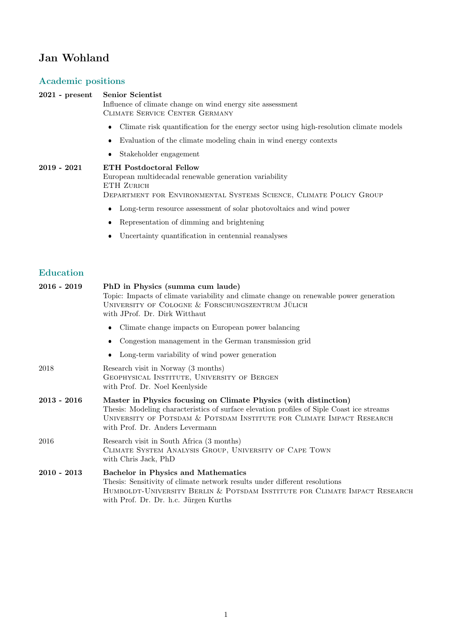# Jan Wohland

## Academic positions

| <b>Academic positions</b>         |                                                                                                                                                                                                                                                                           |
|-----------------------------------|---------------------------------------------------------------------------------------------------------------------------------------------------------------------------------------------------------------------------------------------------------------------------|
| $2021$ - present                  | <b>Senior Scientist</b><br>Influence of climate change on wind energy site assessment<br>CLIMATE SERVICE CENTER GERMANY                                                                                                                                                   |
|                                   | Climate risk quantification for the energy sector using high-resolution climate models<br>$\bullet$                                                                                                                                                                       |
|                                   | Evaluation of the climate modeling chain in wind energy contexts                                                                                                                                                                                                          |
|                                   | Stakeholder engagement<br>٠                                                                                                                                                                                                                                               |
| $2019$ - $2021$                   | <b>ETH Postdoctoral Fellow</b><br>European multidecadal renewable generation variability<br>ETH ZURICH<br>DEPARTMENT FOR ENVIRONMENTAL SYSTEMS SCIENCE, CLIMATE POLICY GROUP                                                                                              |
|                                   | Long-term resource assessment of solar photovoltaics and wind power<br>٠                                                                                                                                                                                                  |
|                                   | Representation of dimming and brightening                                                                                                                                                                                                                                 |
|                                   | Uncertainty quantification in centennial reanalyses<br>٠                                                                                                                                                                                                                  |
| <b>Education</b><br>$2016 - 2019$ | PhD in Physics (summa cum laude)<br>Topic: Impacts of climate variability and climate change on renewable power generation<br>UNIVERSITY OF COLOGNE & FORSCHUNGSZENTRUM JÜLICH<br>with JProf. Dr. Dirk Witthaut                                                           |
|                                   | Climate change impacts on European power balancing<br>٠                                                                                                                                                                                                                   |
|                                   | Congestion management in the German transmission grid<br>٠                                                                                                                                                                                                                |
|                                   | Long-term variability of wind power generation                                                                                                                                                                                                                            |
| 2018                              | Research visit in Norway (3 months)<br>GEOPHYSICAL INSTITUTE, UNIVERSITY OF BERGEN<br>with Prof. Dr. Noel Keenlyside                                                                                                                                                      |
| $2013 - 2016$                     | Master in Physics focusing on Climate Physics (with distinction)<br>Thesis: Modeling characteristics of surface elevation profiles of Siple Coast ice streams<br>UNIVERSITY OF POTSDAM & POTSDAM INSTITUTE FOR CLIMATE IMPACT RESEARCH<br>with Prof. Dr. Anders Levermann |
| 2016                              | Research visit in South Africa (3 months)<br>CLIMATE SYSTEM ANALYSIS GROUP, UNIVERSITY OF CAPE TOWN<br>with Chris Jack, PhD                                                                                                                                               |

| $2010$ - $2013\,$ | <b>Bachelor in Physics and Mathematics</b>                                 |
|-------------------|----------------------------------------------------------------------------|
|                   | Thesis: Sensitivity of climate network results under different resolutions |
|                   | HUMBOLDT-UNIVERSITY BERLIN & POTSDAM INSTITUTE FOR CLIMATE IMPACT RESEARCH |
|                   | with Prof. Dr. Dr. h.c. Jürgen Kurths                                      |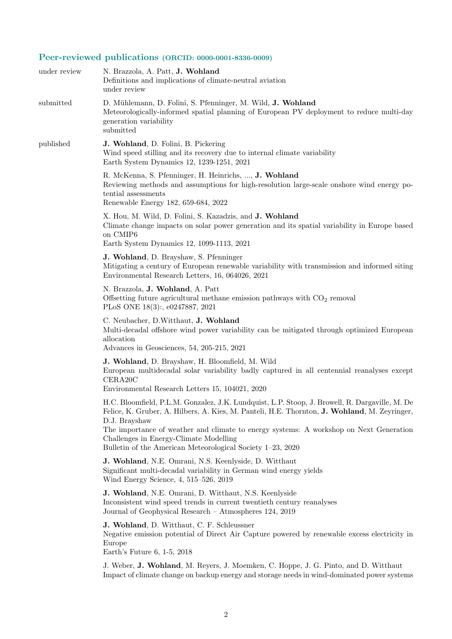# Peer-reviewed publications (ORCID: 0000-0001-8336-0009)

| under review | N. Brazzola, A. Patt, J. Wohland<br>Definitions and implications of climate-neutral aviation<br>under review                                                                                                                                                                                                                                                                                                      |
|--------------|-------------------------------------------------------------------------------------------------------------------------------------------------------------------------------------------------------------------------------------------------------------------------------------------------------------------------------------------------------------------------------------------------------------------|
| submitted    | D. Mühlemann, D. Folini, S. Pfenninger, M. Wild, J. Wohland<br>Meteorologically-informed spatial planning of European PV deployment to reduce multi-day<br>generation variability<br>submitted                                                                                                                                                                                                                    |
| published    | J. Wohland, D. Folini, B. Pickering<br>Wind speed stilling and its recovery due to internal climate variability<br>Earth System Dynamics 12, 1239-1251, 2021                                                                                                                                                                                                                                                      |
|              | R. McKenna, S. Pfenninger, H. Heinrichs, , J. Wohland<br>Reviewing methods and assumptions for high-resolution large-scale on shore wind energy po-<br>tential assessments<br>Renewable Energy 182, 659-684, 2022                                                                                                                                                                                                 |
|              | X. Hou, M. Wild, D. Folini, S. Kazadzis, and J. Wohland<br>Climate change impacts on solar power generation and its spatial variability in Europe based<br>on CMIP6<br>Earth System Dynamics 12, 1099-1113, 2021                                                                                                                                                                                                  |
|              | J. Wohland, D. Brayshaw, S. Pfenninger<br>Mitigating a century of European renewable variability with transmission and informed siting<br>Environmental Research Letters, 16, 064026, 2021                                                                                                                                                                                                                        |
|              | N. Brazzola, J. Wohland, A. Patt<br>Offsetting future agricultural methane emission pathways with $CO2$ removal<br>PLoS ONE 18(3):, e0247887, 2021                                                                                                                                                                                                                                                                |
|              | C. Neubacher, D. Witthaut, J. Wohland<br>Multi-decadal offshore wind power variability can be mitigated through optimized European<br>allocation<br>Advances in Geosciences, 54, 205-215, 2021                                                                                                                                                                                                                    |
|              | J. Wohland, D. Brayshaw, H. Bloomfield, M. Wild<br>European multidecadal solar variability badly captured in all centennial reanalyses except<br>CERA20C<br>Environmental Research Letters 15, 104021, 2020                                                                                                                                                                                                       |
|              | H.C. Bloomfield, P.L.M. Gonzalez, J.K. Lundquist, L.P. Stoop, J. Browell, R. Dargaville, M. De<br>Felice, K. Gruber, A. Hilbers, A. Kies, M. Panteli, H.E. Thornton, J. Wohland, M. Zeyringer,<br>D.J. Brayshaw<br>The importance of weather and climate to energy systems: A workshop on Next Generation<br>Challenges in Energy-Climate Modelling<br>Bulletin of the American Meteorological Society 1-23, 2020 |
|              | J. Wohland, N.E. Omrani, N.S. Keenlyside, D. Witthaut<br>Significant multi-decadal variability in German wind energy yields<br>Wind Energy Science, 4, 515–526, 2019                                                                                                                                                                                                                                              |
|              | J. Wohland, N.E. Omrani, D. Witthaut, N.S. Keenlyside<br>Inconsistent wind speed trends in current twentieth century reanalyses<br>Journal of Geophysical Research - Atmospheres 124, 2019                                                                                                                                                                                                                        |
|              | J. Wohland, D. Witthaut, C. F. Schleussner<br>Negative emission potential of Direct Air Capture powered by renewable excess electricity in<br>Europe<br>Earth's Future 6, 1-5, 2018                                                                                                                                                                                                                               |
|              | J. Weber, J. Wohland, M. Reyers, J. Moemken, C. Hoppe, J. G. Pinto, and D. Witthaut<br>Impact of climate change on backup energy and storage needs in wind-dominated power systems                                                                                                                                                                                                                                |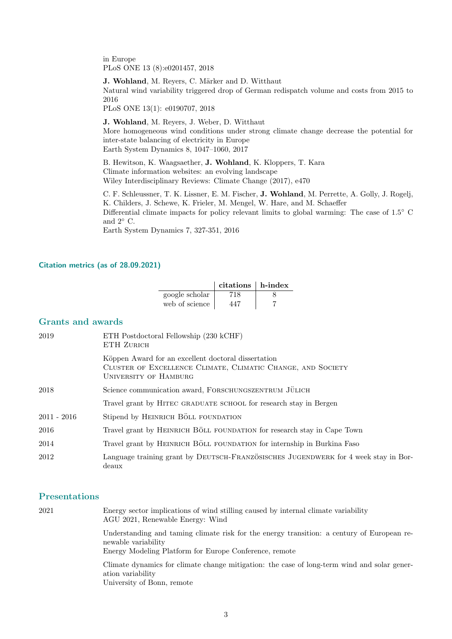in Europe PLoS ONE 13 (8):e0201457, 2018

J. Wohland, M. Reyers, C. Märker and D. Witthaut Natural wind variability triggered drop of German redispatch volume and costs from 2015 to 2016

PLoS ONE 13(1): e0190707, 2018

J. Wohland, M. Reyers, J. Weber, D. Witthaut More homogeneous wind conditions under strong climate change decrease the potential for inter-state balancing of electricity in Europe Earth System Dynamics 8, 1047–1060, 2017

B. Hewitson, K. Waagsaether, J. Wohland, K. Kloppers, T. Kara Climate information websites: an evolving landscape Wiley Interdisciplinary Reviews: Climate Change (2017), e470

C. F. Schleussner, T. K. Lissner, E. M. Fischer, J. Wohland, M. Perrette, A. Golly, J. Rogelj, K. Childers, J. Schewe, K. Frieler, M. Mengel, W. Hare, and M. Schaeffer Differential climate impacts for policy relevant limits to global warming: The case of 1.5◦ C and  $2°$  C.

Earth System Dynamics 7, 327-351, 2016

#### Citation metrics (as of 28.09.2021)

|                | $citations$ h-index |  |
|----------------|---------------------|--|
| google scholar | 718                 |  |
| web of science | 447                 |  |

#### Grants and awards

| 2019          | ETH Postdoctoral Fellowship (230 kCHF)<br>ETH ZURICH                                                                                               |
|---------------|----------------------------------------------------------------------------------------------------------------------------------------------------|
|               | Köppen Award for an excellent doctoral dissertation<br>CLUSTER OF EXCELLENCE CLIMATE, CLIMATIC CHANGE, AND SOCIETY<br><b>UNIVERSITY OF HAMBURG</b> |
| 2018          | Science communication award, FORSCHUNGSZENTRUM JÜLICH                                                                                              |
|               | Travel grant by HITEC GRADUATE SCHOOL for research stay in Bergen                                                                                  |
| $2011 - 2016$ | Stipend by HEINRICH BÖLL FOUNDATION                                                                                                                |
| 2016          | Travel grant by HEINRICH BÖLL FOUNDATION for research stay in Cape Town                                                                            |
| 2014          | Travel grant by HEINRICH BÖLL FOUNDATION for internship in Burkina Faso                                                                            |
| 2012          | Language training grant by DEUTSCH-FRANZÖSISCHES JUGENDWERK for 4 week stay in Bor-<br>deaux                                                       |

### Presentations

| 2021 | Energy sector implications of wind stilling caused by internal climate variability<br>AGU 2021, Renewable Energy: Wind                                                      |
|------|-----------------------------------------------------------------------------------------------------------------------------------------------------------------------------|
|      | Understanding and taming climate risk for the energy transition: a century of European re-<br>newable variability<br>Energy Modeling Platform for Europe Conference, remote |
|      | Climate dynamics for climate change mitigation: the case of long-term wind and solar gener-<br>ation variability<br>University of Bonn, remote                              |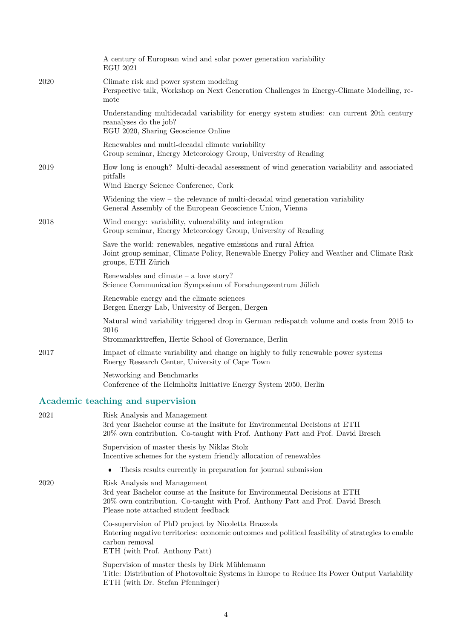|      | A century of European wind and solar power generation variability<br><b>EGU 2021</b>                                                                                                                                                   |
|------|----------------------------------------------------------------------------------------------------------------------------------------------------------------------------------------------------------------------------------------|
| 2020 | Climate risk and power system modeling<br>Perspective talk, Workshop on Next Generation Challenges in Energy-Climate Modelling, re-<br>mote                                                                                            |
|      | Understanding multidecadal variability for energy system studies: can current 20th century<br>reanalyses do the job?<br>EGU 2020, Sharing Geoscience Online                                                                            |
|      | Renewables and multi-decadal climate variability<br>Group seminar, Energy Meteorology Group, University of Reading                                                                                                                     |
| 2019 | How long is enough? Multi-decadal assessment of wind generation variability and associated<br>pitfalls<br>Wind Energy Science Conference, Cork                                                                                         |
|      | Widening the view $-$ the relevance of multi-decadal wind generation variability<br>General Assembly of the European Geoscience Union, Vienna                                                                                          |
| 2018 | Wind energy: variability, vulnerability and integration<br>Group seminar, Energy Meteorology Group, University of Reading                                                                                                              |
|      | Save the world: renewables, negative emissions and rural Africa<br>Joint group seminar, Climate Policy, Renewable Energy Policy and Weather and Climate Risk<br>groups, ETH Zürich                                                     |
|      | Renewables and climate $-$ a love story?<br>Science Communication Symposium of Forschungszentrum Jülich                                                                                                                                |
|      | Renewable energy and the climate sciences<br>Bergen Energy Lab, University of Bergen, Bergen                                                                                                                                           |
|      | Natural wind variability triggered drop in German redispatch volume and costs from 2015 to<br>2016<br>Strommarkttreffen, Hertie School of Governance, Berlin                                                                           |
| 2017 | Impact of climate variability and change on highly to fully renewable power systems<br>Energy Research Center, University of Cape Town                                                                                                 |
|      | Networking and Benchmarks<br>Conference of the Helmholtz Initiative Energy System 2050, Berlin                                                                                                                                         |
|      | Academic teaching and supervision                                                                                                                                                                                                      |
| 2021 | Risk Analysis and Management<br>3rd year Bachelor course at the Insitute for Environmental Decisions at ETH<br>20% own contribution. Co-taught with Prof. Anthony Patt and Prof. David Bresch                                          |
|      | Supervision of master thesis by Niklas Stolz<br>Incentive schemes for the system friendly allocation of renewables                                                                                                                     |
|      | Thesis results currently in preparation for journal submission                                                                                                                                                                         |
| 2020 | Risk Analysis and Management<br>3rd year Bachelor course at the Insitute for Environmental Decisions at ETH<br>20% own contribution. Co-taught with Prof. Anthony Patt and Prof. David Bresch<br>Please note attached student feedback |
|      | Co-supervision of PhD project by Nicoletta Brazzola<br>Entering negative territories: economic outcomes and political feasibility of strategies to enable<br>carbon removal<br>ETH (with Prof. Anthony Patt)                           |

 $\mbox{Supervision of master thesis}$  by Dirk Mühlemann Title: Distribution of Photovoltaic Systems in Europe to Reduce Its Power Output Variability ETH (with Dr. Stefan Pfenninger)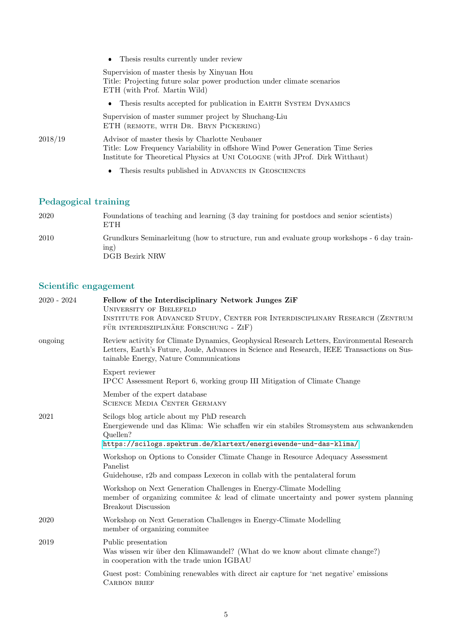|         | • Thesis results currently under review                                                                                                                                                                          |
|---------|------------------------------------------------------------------------------------------------------------------------------------------------------------------------------------------------------------------|
|         | Supervision of master thesis by Xinyuan Hou<br>Title: Projecting future solar power production under climate scenarios<br>ETH (with Prof. Martin Wild)                                                           |
|         | • Thesis results accepted for publication in EARTH SYSTEM DYNAMICS                                                                                                                                               |
|         | Supervision of master summer project by Shuchang-Liu<br>ETH (REMOTE, WITH DR. BRYN PICKERING)                                                                                                                    |
| 2018/19 | Advisor of master thesis by Charlotte Neubauer<br>Title: Low Frequency Variability in offshore Wind Power Generation Time Series<br>Institute for Theoretical Physics at UNI COLOGNE (with JProf. Dirk Witthaut) |
|         | Thesis results published in ADVANCES IN GEOSCIENCES<br>$\bullet$                                                                                                                                                 |

# Pedagogical training

| 2020 | Foundations of teaching and learning (3 day training for postdocs and senior scientists)<br><b>ETH</b>                |
|------|-----------------------------------------------------------------------------------------------------------------------|
| 2010 | Grundkurs Seminarleitung (how to structure, run and evaluate group workshops - 6 day train-<br>ing)<br>DGB Bezirk NRW |

# Scientific engagement

| ongoing | Review activity for Climate Dynamics, Geophysical Research Letters, Environmental Research<br>Letters, Earth's Future, Joule, Advances in Science and Research, IEEE Transactions on Sus-<br>tainable Energy, Nature Communications |
|---------|-------------------------------------------------------------------------------------------------------------------------------------------------------------------------------------------------------------------------------------|
|         | Expert reviewer<br>IPCC Assessment Report 6, working group III Mitigation of Climate Change                                                                                                                                         |
|         | Member of the expert database<br><b>SCIENCE MEDIA CENTER GERMANY</b>                                                                                                                                                                |
| 2021    | Scilogs blog article about my PhD research<br>Energiewende und das Klima: Wie schaffen wir ein stabiles Stromsystem aus schwankenden<br>Quellen?<br>https://scilogs.spektrum.de/klartext/energiewende-und-das-klima/                |
|         | Workshop on Options to Consider Climate Change in Resource Adequacy Assessment<br>Panelist<br>Guidehouse, r2b and compass Lexecon in collab with the pentalateral forum                                                             |
|         | Workshop on Next Generation Challenges in Energy-Climate Modelling<br>member of organizing committee $\&$ lead of climate uncertainty and power system planning<br>Breakout Discussion                                              |
| 2020    | Workshop on Next Generation Challenges in Energy-Climate Modelling<br>member of organizing commitee                                                                                                                                 |
| 2019    | Public presentation<br>Was wissen wir über den Klimawandel? (What do we know about climate change?)<br>in cooperation with the trade union IGBAU                                                                                    |
|         | Guest post: Combining renewables with direct air capture for 'net negative' emissions<br><b>CARBON BRIEF</b>                                                                                                                        |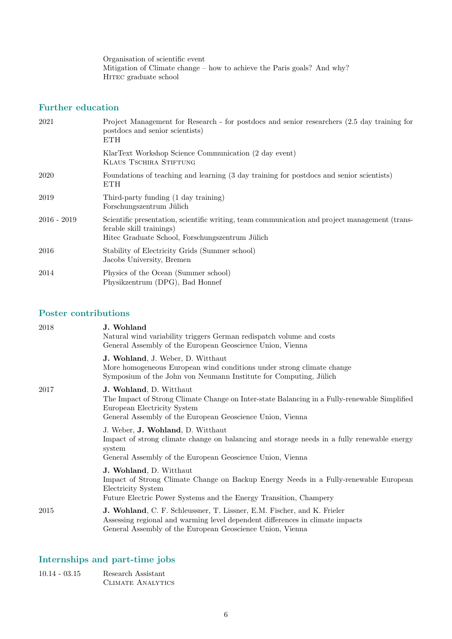Organisation of scientific event Mitigation of Climate change – how to achieve the Paris goals? And why?  $\operatorname{HITEC}$  graduate school

### Further education

| 2021          | Project Management for Research - for postdocs and senior researchers (2.5 day training for<br>postdocs and senior scientists)<br><b>ETH</b>                                  |
|---------------|-------------------------------------------------------------------------------------------------------------------------------------------------------------------------------|
|               | KlarText Workshop Science Communication (2 day event)<br>KLAUS TSCHIRA STIFTUNG                                                                                               |
| 2020          | Foundations of teaching and learning (3 day training for postdocs and senior scientists)<br><b>ETH</b>                                                                        |
| 2019          | Third-party funding (1 day training)<br>Forschungszentrum Jülich                                                                                                              |
| $2016 - 2019$ | Scientific presentation, scientific writing, team communication and project management (trans-<br>ferable skill trainings)<br>Hitec Graduate School, Forschungszentrum Jülich |
| 2016          | Stability of Electricity Grids (Summer school)<br>Jacobs University, Bremen                                                                                                   |
| 2014          | Physics of the Ocean (Summer school)<br>Physikzentrum (DPG), Bad Honnef                                                                                                       |

### Poster contributions

| 2018 | J. Wohland<br>Natural wind variability triggers German redispatch volume and costs<br>General Assembly of the European Geoscience Union, Vienna                                                                       |
|------|-----------------------------------------------------------------------------------------------------------------------------------------------------------------------------------------------------------------------|
|      | J. Wohland, J. Weber, D. Witthaut<br>More homogeneous European wind conditions under strong climate change<br>Symposium of the John von Neumann Institute for Computing, Jülich                                       |
| 2017 | J. Wohland, D. Witthaut<br>The Impact of Strong Climate Change on Inter-state Balancing in a Fully-renewable Simplified<br>European Electricity System<br>General Assembly of the European Geoscience Union, Vienna   |
|      | J. Weber, J. Wohland, D. Witthaut<br>Impact of strong climate change on balancing and storage needs in a fully renewable energy<br>system<br>General Assembly of the European Geoscience Union, Vienna                |
|      | J. Wohland, D. Witthaut<br>Impact of Strong Climate Change on Backup Energy Needs in a Fully-renewable European<br>Electricity System<br>Future Electric Power Systems and the Energy Transition, Champery            |
| 2015 | J. Wohland, C. F. Schleussner, T. Lissner, E.M. Fischer, and K. Frieler<br>Assessing regional and warming level dependent differences in climate impacts<br>General Assembly of the European Geoscience Union, Vienna |

## Internships and part-time jobs

| $10.14 - 03.15$ | Research Assistant |
|-----------------|--------------------|
|                 | CLIMATE ANALYTICS  |